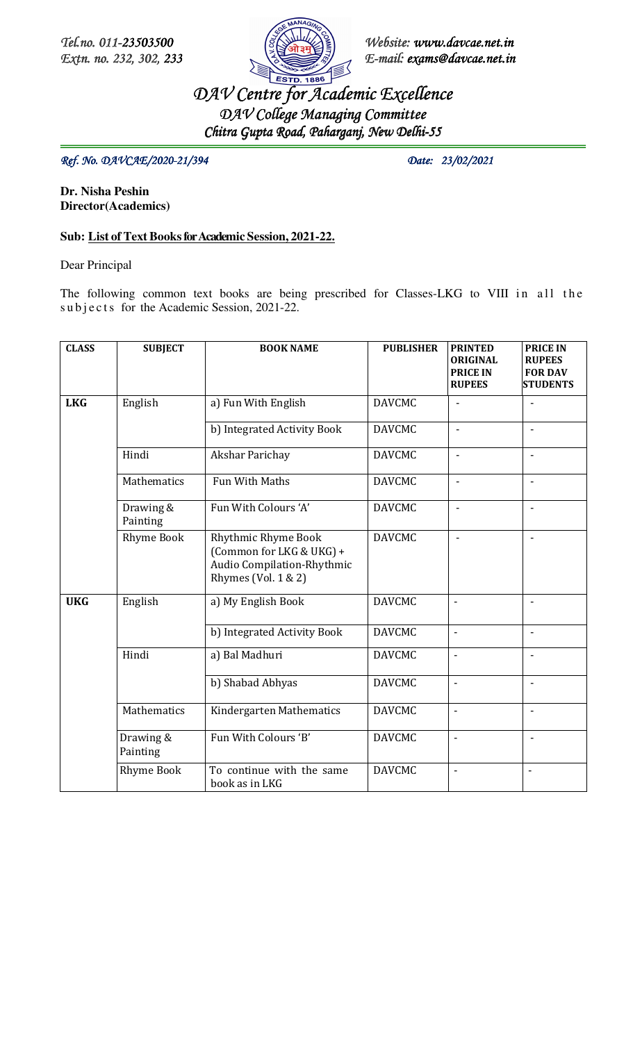

*Tel.no. 011- Tel.no. 011-23503500 23503500 Website Website: www.davcae.net.in Extn. no. 232, 302, 233 E-mail: exams@davcae.net.in*

> *DAV Centre for Academic Excellence DAV College Managing Committee Committee Chitra Gupta Road, Paharganj, New Delhi- Gupta Road, Delhi-55*

 *Ref.* No.  $DAVCAE/2020-21/394$  Date: 23/02/2021

**Dr. Nisha Peshin Director(Academics)** 

## **Sub: List of Text Books for Academic Session, 2021-22.**

Dear Principal

The following common text books are being prescribed for Classes-LKG to VIII in all the subjects for the Academic Session, 2021-22.

| <b>CLASS</b> | <b>SUBJECT</b>        | <b>BOOK NAME</b>                                                                                     | <b>PUBLISHER</b> | <b>PRINTED</b><br><b>ORIGINAL</b><br><b>PRICE IN</b><br><b>RUPEES</b> | <b>PRICE IN</b><br><b>RUPEES</b><br><b>FOR DAV</b><br><b>STUDENTS</b> |
|--------------|-----------------------|------------------------------------------------------------------------------------------------------|------------------|-----------------------------------------------------------------------|-----------------------------------------------------------------------|
| <b>LKG</b>   | English               | a) Fun With English                                                                                  | <b>DAVCMC</b>    | L,                                                                    |                                                                       |
|              |                       | b) Integrated Activity Book                                                                          | <b>DAVCMC</b>    | L,                                                                    |                                                                       |
|              | Hindi                 | Akshar Parichay                                                                                      | <b>DAVCMC</b>    | ÷,                                                                    | $\blacksquare$                                                        |
|              | Mathematics           | Fun With Maths                                                                                       | <b>DAVCMC</b>    | ä,                                                                    |                                                                       |
|              | Drawing &<br>Painting | Fun With Colours 'A'                                                                                 | <b>DAVCMC</b>    | L,                                                                    |                                                                       |
|              | <b>Rhyme Book</b>     | Rhythmic Rhyme Book<br>(Common for LKG & UKG) +<br>Audio Compilation-Rhythmic<br>Rhymes (Vol. 1 & 2) | <b>DAVCMC</b>    | L,                                                                    |                                                                       |
| <b>UKG</b>   | English               | a) My English Book                                                                                   | <b>DAVCMC</b>    | $\overline{\phantom{a}}$                                              | $\blacksquare$                                                        |
|              |                       | b) Integrated Activity Book                                                                          | <b>DAVCMC</b>    | $\overline{\phantom{a}}$                                              | $\mathbf{r}$                                                          |
|              | Hindi                 | a) Bal Madhuri                                                                                       | <b>DAVCMC</b>    | $\overline{\phantom{a}}$                                              | ÷,                                                                    |
|              |                       | b) Shabad Abhyas                                                                                     | <b>DAVCMC</b>    | $\blacksquare$                                                        |                                                                       |
|              | Mathematics           | Kindergarten Mathematics                                                                             | <b>DAVCMC</b>    | $\overline{\phantom{a}}$                                              | ä,                                                                    |
|              | Drawing &<br>Painting | Fun With Colours 'B'                                                                                 | <b>DAVCMC</b>    | $\blacksquare$                                                        | $\overline{a}$                                                        |
|              | <b>Rhyme Book</b>     | To continue with the same<br>book as in LKG                                                          | <b>DAVCMC</b>    | $\overline{\phantom{a}}$                                              | $\blacksquare$                                                        |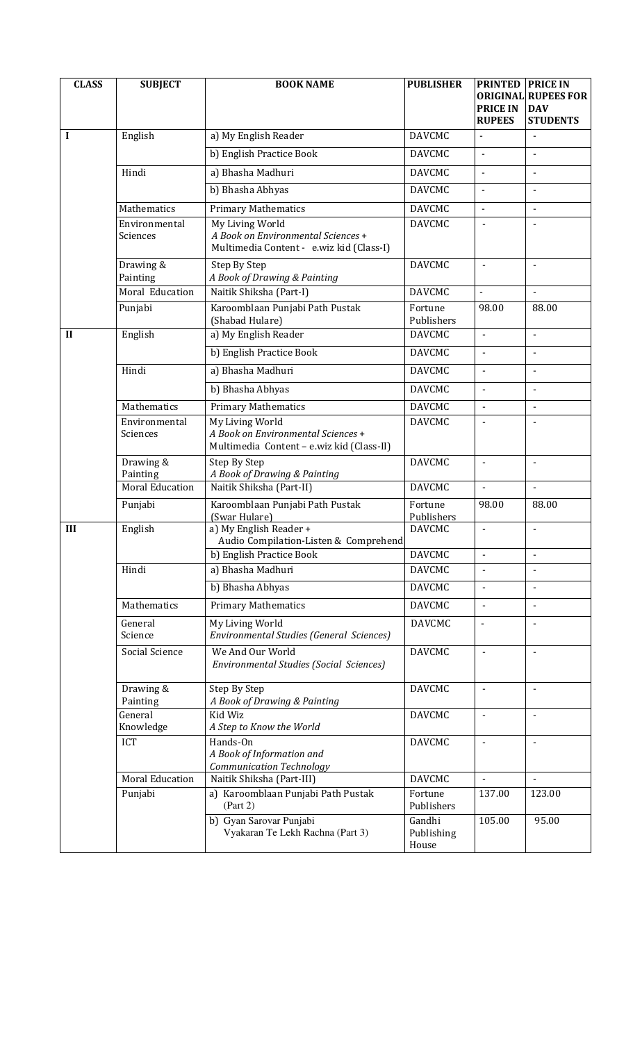| <b>CLASS</b> | <b>SUBJECT</b>         | <b>BOOK NAME</b>                                                               | <b>PUBLISHER</b>      | <b>PRINTED</b>                     | <b>PRICE IN</b>                 |
|--------------|------------------------|--------------------------------------------------------------------------------|-----------------------|------------------------------------|---------------------------------|
|              |                        |                                                                                |                       | <b>ORIGINAL</b><br><b>PRICE IN</b> | <b>RUPEES FOR</b><br><b>DAV</b> |
|              |                        |                                                                                |                       | <b>RUPEES</b>                      | <b>STUDENTS</b>                 |
| I            | English                | a) My English Reader                                                           | <b>DAVCMC</b>         | $\blacksquare$                     | $\blacksquare$                  |
|              |                        | b) English Practice Book                                                       | <b>DAVCMC</b>         | $\mathbf{r}$                       | $\blacksquare$                  |
|              | Hindi                  | a) Bhasha Madhuri                                                              | <b>DAVCMC</b>         | $\overline{a}$                     | $\blacksquare$                  |
|              |                        | b) Bhasha Abhyas                                                               | <b>DAVCMC</b>         | $\blacksquare$                     | $\blacksquare$                  |
|              | Mathematics            | <b>Primary Mathematics</b>                                                     | <b>DAVCMC</b>         | $\blacksquare$                     | $\blacksquare$                  |
|              | Environmental          | My Living World                                                                | <b>DAVCMC</b>         |                                    |                                 |
|              | Sciences               | A Book on Environmental Sciences +<br>Multimedia Content - e.wiz kid (Class-I) |                       |                                    |                                 |
|              | Drawing &              | Step By Step                                                                   | <b>DAVCMC</b>         | $\blacksquare$                     | $\blacksquare$                  |
|              | Painting               | A Book of Drawing & Painting                                                   |                       |                                    |                                 |
|              | Moral Education        | Naitik Shiksha (Part-I)                                                        | <b>DAVCMC</b>         | $\blacksquare$                     |                                 |
|              | Punjabi                | Karoomblaan Punjabi Path Pustak                                                | Fortune<br>Publishers | 98.00                              | 88.00                           |
| $\mathbf{I}$ | English                | (Shabad Hulare)<br>a) My English Reader                                        | <b>DAVCMC</b>         | $\overline{a}$                     | $\overline{a}$                  |
|              |                        | b) English Practice Book                                                       | <b>DAVCMC</b>         | ä,                                 | $\blacksquare$                  |
|              | Hindi                  | a) Bhasha Madhuri                                                              | <b>DAVCMC</b>         | $\Delta$                           | $\blacksquare$                  |
|              |                        | b) Bhasha Abhyas                                                               | <b>DAVCMC</b>         | $\blacksquare$                     | $\blacksquare$                  |
|              | Mathematics            |                                                                                | <b>DAVCMC</b>         |                                    |                                 |
|              | Environmental          | <b>Primary Mathematics</b><br>My Living World                                  | <b>DAVCMC</b>         | $\blacksquare$                     | $\blacksquare$                  |
|              | Sciences               | A Book on Environmental Sciences +                                             |                       |                                    |                                 |
|              |                        | Multimedia Content - e.wiz kid (Class-II)                                      |                       |                                    |                                 |
|              | Drawing &<br>Painting  | Step By Step<br>A Book of Drawing & Painting                                   | <b>DAVCMC</b>         | $\blacksquare$                     | $\blacksquare$                  |
|              | <b>Moral Education</b> | Naitik Shiksha (Part-II)                                                       | <b>DAVCMC</b>         | $\blacksquare$                     | $\blacksquare$                  |
|              | Punjabi                | Karoomblaan Punjabi Path Pustak                                                | Fortune               | 98.00                              | 88.00                           |
|              |                        | (Swar Hulare)                                                                  | Publishers            |                                    |                                 |
| III          | English                | a) My English Reader +<br>Audio Compilation-Listen & Comprehend                | <b>DAVCMC</b>         | $\blacksquare$                     |                                 |
|              |                        | b) English Practice Book                                                       | <b>DAVCMC</b>         | $\blacksquare$                     | $\blacksquare$                  |
|              | Hindi                  | a) Bhasha Madhuri                                                              | <b>DAVCMC</b>         |                                    |                                 |
|              |                        | b) Bhasha Abhyas                                                               | <b>DAVCMC</b>         | $\blacksquare$                     | $\blacksquare$                  |
|              | Mathematics            | <b>Primary Mathematics</b>                                                     | <b>DAVCMC</b>         | $\blacksquare$                     | $\blacksquare$                  |
|              | General                | My Living World                                                                | <b>DAVCMC</b>         | $\overline{a}$                     | $\blacksquare$                  |
|              | Science                | <b>Environmental Studies (General Sciences)</b>                                |                       |                                    |                                 |
|              | Social Science         | We And Our World<br><b>Environmental Studies (Social Sciences)</b>             | <b>DAVCMC</b>         | $\blacksquare$                     |                                 |
|              |                        |                                                                                |                       |                                    |                                 |
|              | Drawing &              | Step By Step                                                                   | <b>DAVCMC</b>         |                                    |                                 |
|              | Painting<br>General    | A Book of Drawing & Painting<br>Kid Wiz                                        | <b>DAVCMC</b>         | $\blacksquare$                     | $\blacksquare$                  |
|              | Knowledge              | A Step to Know the World                                                       |                       |                                    |                                 |
|              | <b>ICT</b>             | Hands-On                                                                       | <b>DAVCMC</b>         | $\blacksquare$                     | $\blacksquare$                  |
|              |                        | A Book of Information and<br>Communication Technology                          |                       |                                    |                                 |
|              | <b>Moral Education</b> | Naitik Shiksha (Part-III)                                                      | <b>DAVCMC</b>         | $\blacksquare$                     | $\blacksquare$                  |
|              | Punjabi                | a) Karoomblaan Punjabi Path Pustak                                             | Fortune               | 137.00                             | 123.00                          |
|              |                        | (Part 2)<br>b) Gyan Sarovar Punjabi                                            | Publishers<br>Gandhi  | 105.00                             | 95.00                           |
|              |                        | Vyakaran Te Lekh Rachna (Part 3)                                               | Publishing            |                                    |                                 |
|              |                        |                                                                                | House                 |                                    |                                 |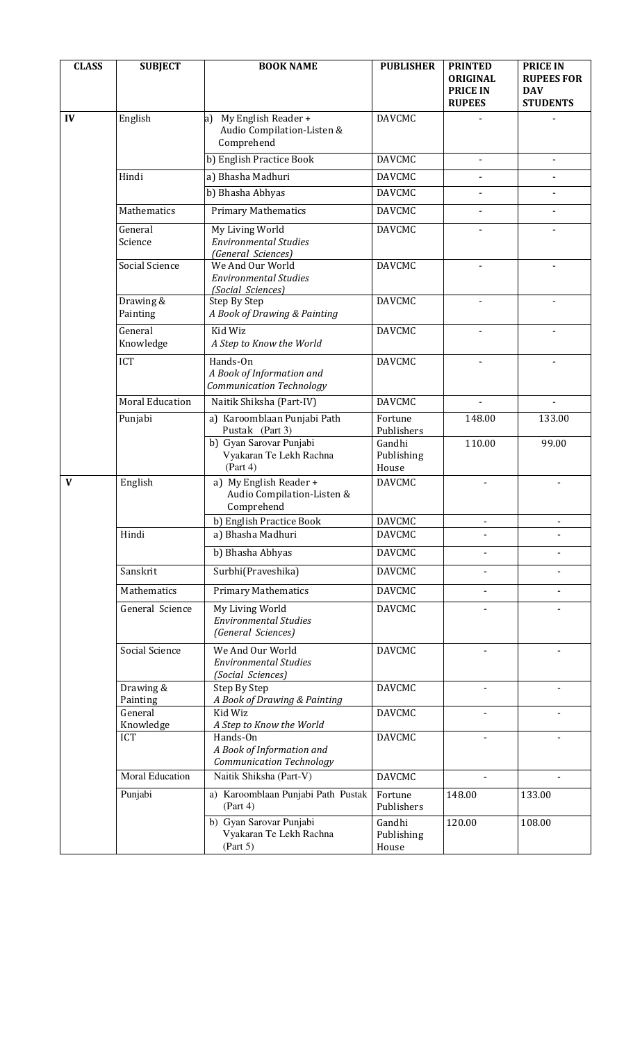| <b>CLASS</b> | <b>SUBJECT</b>          | <b>BOOK NAME</b>                                                                              | <b>PUBLISHER</b>              | <b>PRINTED</b><br><b>ORIGINAL</b><br><b>PRICE IN</b><br><b>RUPEES</b> | <b>PRICE IN</b><br><b>RUPEES FOR</b><br><b>DAV</b><br><b>STUDENTS</b> |
|--------------|-------------------------|-----------------------------------------------------------------------------------------------|-------------------------------|-----------------------------------------------------------------------|-----------------------------------------------------------------------|
| IV           | English                 | My English Reader +<br>a)<br>Audio Compilation-Listen &<br>Comprehend                         | <b>DAVCMC</b>                 |                                                                       |                                                                       |
|              |                         | b) English Practice Book                                                                      | <b>DAVCMC</b>                 | $\blacksquare$                                                        | $\blacksquare$                                                        |
|              | Hindi                   | a) Bhasha Madhuri                                                                             | <b>DAVCMC</b>                 |                                                                       |                                                                       |
|              |                         | b) Bhasha Abhyas                                                                              | <b>DAVCMC</b>                 |                                                                       |                                                                       |
|              | Mathematics             | <b>Primary Mathematics</b>                                                                    | <b>DAVCMC</b>                 |                                                                       |                                                                       |
|              | General<br>Science      | My Living World<br><b>Environmental Studies</b><br>(General Sciences)                         | <b>DAVCMC</b>                 |                                                                       |                                                                       |
|              | Social Science          | We And Our World<br><b>Environmental Studies</b><br>(Social Sciences)                         | <b>DAVCMC</b>                 |                                                                       |                                                                       |
|              | Drawing &<br>Painting   | Step By Step<br>A Book of Drawing & Painting                                                  | <b>DAVCMC</b>                 |                                                                       |                                                                       |
|              | General<br>Knowledge    | Kid Wiz<br>A Step to Know the World                                                           | <b>DAVCMC</b>                 | $\blacksquare$                                                        |                                                                       |
|              | ICT                     | Hands-On<br>A Book of Information and<br>Communication Technology                             | <b>DAVCMC</b>                 |                                                                       |                                                                       |
|              | <b>Moral Education</b>  | Naitik Shiksha (Part-IV)                                                                      | <b>DAVCMC</b>                 |                                                                       |                                                                       |
|              | Punjabi                 | a) Karoomblaan Punjabi Path<br>Pustak (Part 3)                                                | Fortune<br>Publishers         | 148.00                                                                | 133.00                                                                |
|              |                         | b) Gyan Sarovar Punjabi<br>Vyakaran Te Lekh Rachna<br>(Part 4)                                | Gandhi<br>Publishing<br>House | 110.00                                                                | 99.00                                                                 |
| V            | English                 | a) My English Reader +<br>Audio Compilation-Listen &<br>Comprehend                            | <b>DAVCMC</b>                 |                                                                       |                                                                       |
|              |                         | b) English Practice Book                                                                      | <b>DAVCMC</b>                 |                                                                       |                                                                       |
|              | Hindi                   | a) Bhasha Madhuri                                                                             | <b>DAVCMC</b>                 |                                                                       |                                                                       |
|              |                         | b) Bhasha Abhyas                                                                              | <b>DAVCMC</b>                 |                                                                       |                                                                       |
|              | Sanskrit                | Surbhi(Praveshika)                                                                            | <b>DAVCMC</b>                 |                                                                       |                                                                       |
|              | Mathematics             | <b>Primary Mathematics</b>                                                                    | <b>DAVCMC</b>                 |                                                                       |                                                                       |
|              | General Science         | My Living World<br><b>Environmental Studies</b><br>(General Sciences)                         | <b>DAVCMC</b>                 |                                                                       |                                                                       |
|              | Social Science          | We And Our World<br><b>Environmental Studies</b><br>(Social Sciences)                         | <b>DAVCMC</b>                 |                                                                       |                                                                       |
|              | Drawing &<br>Painting   | Step By Step<br>A Book of Drawing & Painting                                                  | <b>DAVCMC</b>                 |                                                                       |                                                                       |
|              | General                 | Kid Wiz                                                                                       | <b>DAVCMC</b>                 |                                                                       |                                                                       |
|              | Knowledge<br><b>ICT</b> | A Step to Know the World<br>Hands-On<br>A Book of Information and<br>Communication Technology | <b>DAVCMC</b>                 |                                                                       |                                                                       |
|              | Moral Education         | Naitik Shiksha (Part-V)                                                                       | <b>DAVCMC</b>                 |                                                                       |                                                                       |
|              | Punjabi                 | a) Karoomblaan Punjabi Path Pustak<br>(Part 4)                                                | Fortune<br>Publishers         | 148.00                                                                | 133.00                                                                |
|              |                         | b) Gyan Sarovar Punjabi<br>Vyakaran Te Lekh Rachna<br>(Part 5)                                | Gandhi<br>Publishing<br>House | 120.00                                                                | 108.00                                                                |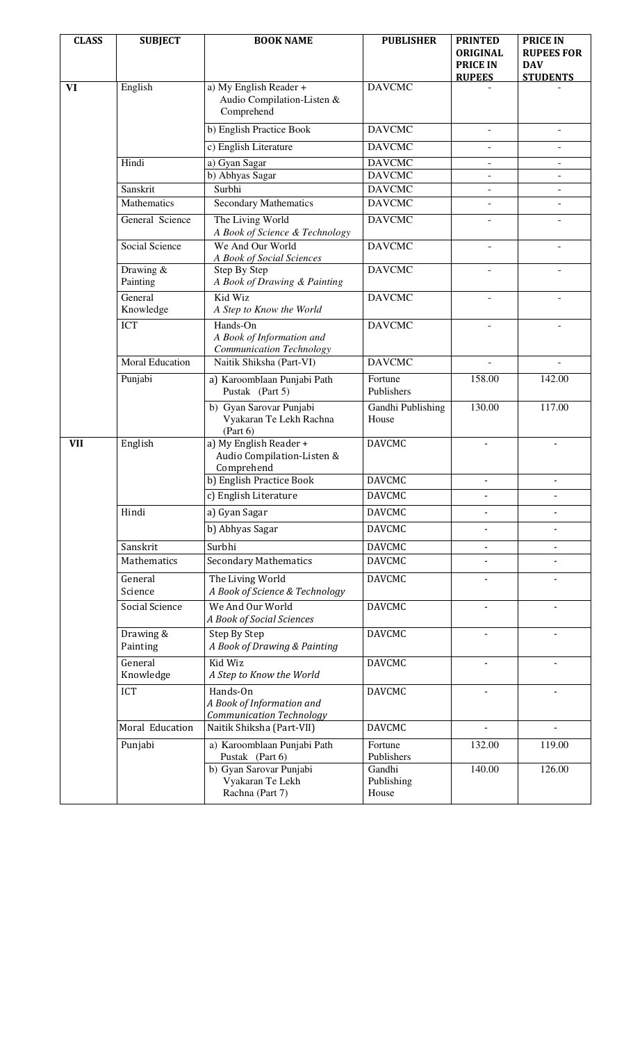| <b>CLASS</b> | <b>SUBJECT</b>         | <b>BOOK NAME</b>                                                         | <b>PUBLISHER</b>              | <b>PRINTED</b><br><b>ORIGINAL</b><br><b>PRICE IN</b><br><b>RUPEES</b> | <b>PRICE IN</b><br><b>RUPEES FOR</b><br><b>DAV</b><br><b>STUDENTS</b> |
|--------------|------------------------|--------------------------------------------------------------------------|-------------------------------|-----------------------------------------------------------------------|-----------------------------------------------------------------------|
| VI           | English                | a) My English Reader +<br>Audio Compilation-Listen &<br>Comprehend       | <b>DAVCMC</b>                 |                                                                       |                                                                       |
|              |                        | b) English Practice Book                                                 | <b>DAVCMC</b>                 | $\overline{\phantom{a}}$                                              | $\overline{\phantom{a}}$                                              |
|              |                        | c) English Literature                                                    | <b>DAVCMC</b>                 |                                                                       | $\overline{\phantom{a}}$                                              |
|              | Hindi                  | a) Gyan Sagar                                                            | <b>DAVCMC</b>                 | $\overline{\phantom{a}}$                                              |                                                                       |
|              |                        | b) Abhyas Sagar                                                          | <b>DAVCMC</b>                 |                                                                       |                                                                       |
|              | Sanskrit               | Surbhi                                                                   | <b>DAVCMC</b>                 |                                                                       |                                                                       |
|              | Mathematics            | <b>Secondary Mathematics</b>                                             | <b>DAVCMC</b>                 |                                                                       |                                                                       |
|              | General Science        | The Living World<br>A Book of Science & Technology                       | <b>DAVCMC</b>                 |                                                                       |                                                                       |
|              | Social Science         | We And Our World<br>A Book of Social Sciences                            | <b>DAVCMC</b>                 | $\overline{\phantom{a}}$                                              |                                                                       |
|              | Drawing &<br>Painting  | Step By Step<br>A Book of Drawing & Painting                             | <b>DAVCMC</b>                 |                                                                       |                                                                       |
|              | General<br>Knowledge   | Kid Wiz<br>A Step to Know the World                                      | <b>DAVCMC</b>                 |                                                                       |                                                                       |
|              | <b>ICT</b>             | Hands-On<br>A Book of Information and<br>Communication Technology        | <b>DAVCMC</b>                 |                                                                       |                                                                       |
|              | <b>Moral Education</b> | Naitik Shiksha (Part-VI)                                                 | <b>DAVCMC</b>                 |                                                                       |                                                                       |
|              | Punjabi                | a) Karoomblaan Punjabi Path<br>Pustak (Part 5)                           | Fortune<br>Publishers         | 158.00                                                                | 142.00                                                                |
|              |                        | b) Gyan Sarovar Punjabi<br>Vyakaran Te Lekh Rachna<br>(Part 6)           | Gandhi Publishing<br>House    | 130.00                                                                | 117.00                                                                |
| <b>VII</b>   | English                | a) My English Reader +<br>Audio Compilation-Listen &<br>Comprehend       | <b>DAVCMC</b>                 |                                                                       |                                                                       |
|              |                        | b) English Practice Book                                                 | <b>DAVCMC</b>                 |                                                                       |                                                                       |
|              |                        | c) English Literature                                                    | <b>DAVCMC</b>                 |                                                                       |                                                                       |
|              | Hindi                  | a) Gyan Sagar                                                            | <b>DAVCMC</b>                 |                                                                       |                                                                       |
|              |                        | b) Abhyas Sagar                                                          | <b>DAVCMC</b>                 |                                                                       |                                                                       |
|              | Sanskrit               | Surbhi                                                                   | <b>DAVCMC</b>                 |                                                                       |                                                                       |
|              | Mathematics            | <b>Secondary Mathematics</b>                                             | <b>DAVCMC</b>                 |                                                                       |                                                                       |
|              | General<br>Science     | The Living World<br>A Book of Science & Technology                       | <b>DAVCMC</b>                 |                                                                       |                                                                       |
|              | Social Science         | We And Our World<br>A Book of Social Sciences                            | <b>DAVCMC</b>                 |                                                                       |                                                                       |
|              | Drawing &<br>Painting  | Step By Step<br>A Book of Drawing & Painting                             | <b>DAVCMC</b>                 |                                                                       |                                                                       |
|              | General<br>Knowledge   | Kid Wiz<br>A Step to Know the World                                      | <b>DAVCMC</b>                 |                                                                       |                                                                       |
|              | <b>ICT</b>             | Hands-On<br>A Book of Information and<br><b>Communication Technology</b> | <b>DAVCMC</b>                 |                                                                       |                                                                       |
|              | Moral Education        | Naitik Shiksha (Part-VII)                                                | <b>DAVCMC</b>                 |                                                                       |                                                                       |
|              | Punjabi                | a) Karoomblaan Punjabi Path<br>Pustak (Part 6)                           | Fortune<br>Publishers         | 132.00                                                                | 119.00                                                                |
|              |                        | b) Gyan Sarovar Punjabi<br>Vyakaran Te Lekh<br>Rachna (Part 7)           | Gandhi<br>Publishing<br>House | 140.00                                                                | 126.00                                                                |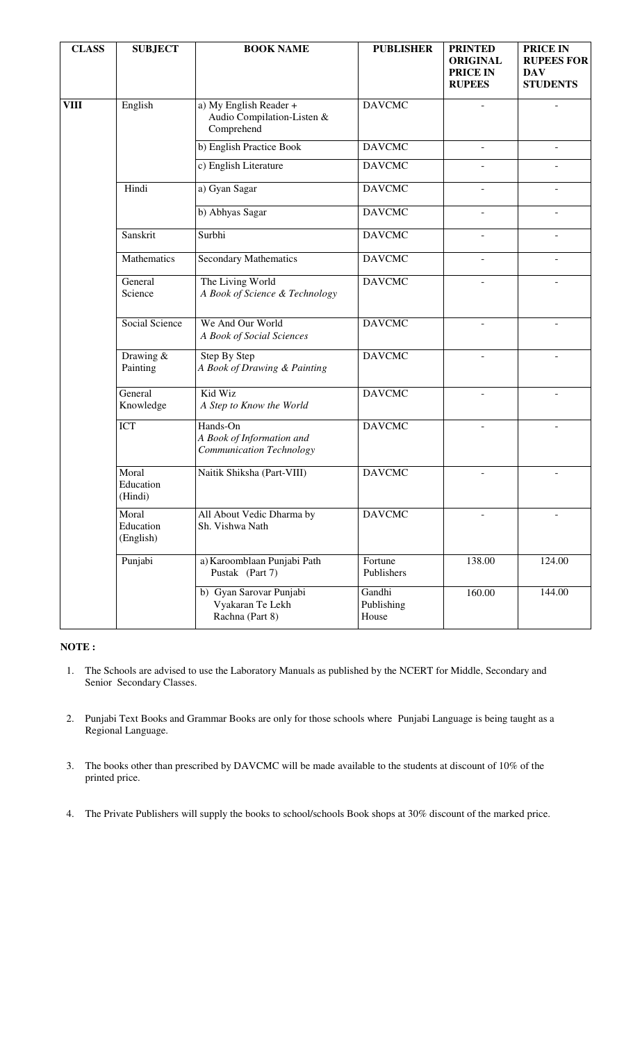| <b>CLASS</b> | <b>SUBJECT</b>                  | <b>BOOK NAME</b>                                                   | <b>PUBLISHER</b>              | <b>PRINTED</b><br><b>ORIGINAL</b><br><b>PRICE IN</b><br><b>RUPEES</b> | <b>PRICE IN</b><br><b>RUPEES FOR</b><br><b>DAV</b><br><b>STUDENTS</b> |
|--------------|---------------------------------|--------------------------------------------------------------------|-------------------------------|-----------------------------------------------------------------------|-----------------------------------------------------------------------|
| <b>VIII</b>  | English                         | a) My English Reader +<br>Audio Compilation-Listen &<br>Comprehend | <b>DAVCMC</b>                 | L.                                                                    |                                                                       |
|              |                                 | b) English Practice Book                                           | <b>DAVCMC</b>                 |                                                                       |                                                                       |
|              |                                 | c) English Literature                                              | <b>DAVCMC</b>                 |                                                                       |                                                                       |
|              | Hindi                           | a) Gyan Sagar                                                      | <b>DAVCMC</b>                 | $\overline{a}$                                                        |                                                                       |
|              |                                 | b) Abhyas Sagar                                                    | <b>DAVCMC</b>                 |                                                                       |                                                                       |
|              | Sanskrit                        | Surbhi                                                             | <b>DAVCMC</b>                 | $\overline{a}$                                                        |                                                                       |
|              | Mathematics                     | <b>Secondary Mathematics</b>                                       | <b>DAVCMC</b>                 |                                                                       |                                                                       |
|              | General<br>Science              | The Living World<br>A Book of Science & Technology                 | <b>DAVCMC</b>                 |                                                                       |                                                                       |
|              | Social Science                  | We And Our World<br>A Book of Social Sciences                      | <b>DAVCMC</b>                 |                                                                       |                                                                       |
|              | Drawing &<br>Painting           | Step By Step<br>A Book of Drawing & Painting                       | <b>DAVCMC</b>                 |                                                                       |                                                                       |
|              | General<br>Knowledge            | Kid Wiz<br>A Step to Know the World                                | <b>DAVCMC</b>                 | L.                                                                    |                                                                       |
|              | ICT                             | Hands-On<br>A Book of Information and<br>Communication Technology  | <b>DAVCMC</b>                 | $\overline{a}$                                                        |                                                                       |
|              | Moral<br>Education<br>(Hindi)   | Naitik Shiksha (Part-VIII)                                         | <b>DAVCMC</b>                 |                                                                       |                                                                       |
|              | Moral<br>Education<br>(English) | All About Vedic Dharma by<br>Sh. Vishwa Nath                       | <b>DAVCMC</b>                 | L.                                                                    |                                                                       |
|              | Punjabi                         | a) Karoomblaan Punjabi Path<br>Pustak (Part 7)                     | Fortune<br>Publishers         | 138.00                                                                | 124.00                                                                |
|              |                                 | b) Gyan Sarovar Punjabi<br>Vyakaran Te Lekh<br>Rachna (Part 8)     | Gandhi<br>Publishing<br>House | 160.00                                                                | 144.00                                                                |

## **NOTE :**

- 1. The Schools are advised to use the Laboratory Manuals as published by the NCERT for Middle, Secondary and Senior Secondary Classes.
- 2. Punjabi Text Books and Grammar Books are only for those schools where Punjabi Language is being taught as a Regional Language.
- 3. The books other than prescribed by DAVCMC will be made available to the students at discount of 10% of the printed price.
- 4. The Private Publishers will supply the books to school/schools Book shops at 30% discount of the marked price.